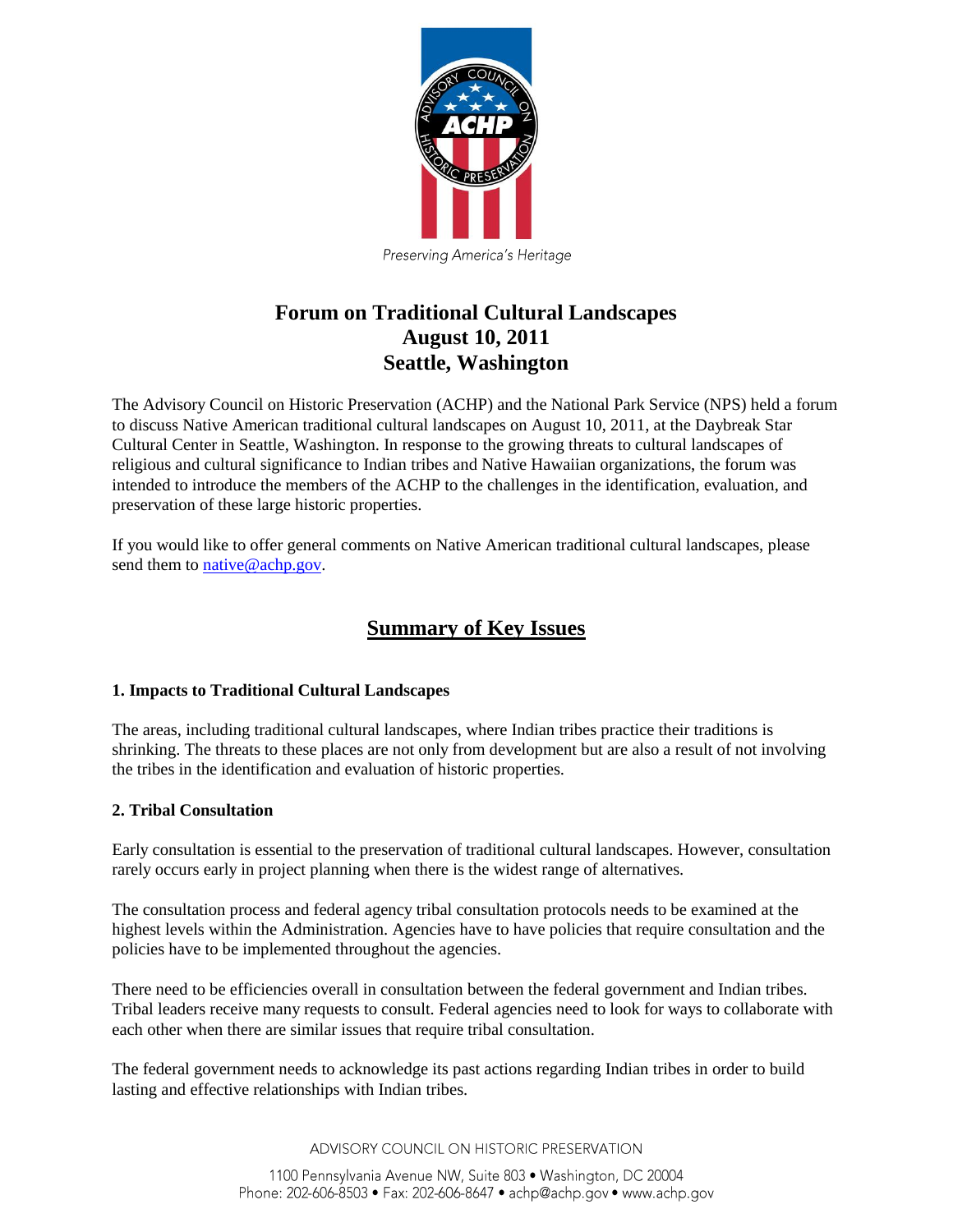

Preserving America's Heritage

## **Forum on Traditional Cultural Landscapes August 10, 2011 Seattle, Washington**

The Advisory Council on Historic Preservation (ACHP) and the National Park Service (NPS) held a forum to discuss Native American traditional cultural landscapes on August 10, 2011, at the Daybreak Star Cultural Center in Seattle, Washington. In response to the growing threats to cultural landscapes of religious and cultural significance to Indian tribes and Native Hawaiian organizations, the forum was intended to introduce the members of the ACHP to the challenges in the identification, evaluation, and preservation of these large historic properties.

If you would like to offer general comments on Native American traditional cultural landscapes, please send them to [native@achp.gov.](mailto:native@achp.gov)

# **Summary of Key Issues**

### **1. Impacts to Traditional Cultural Landscapes**

The areas, including traditional cultural landscapes, where Indian tribes practice their traditions is shrinking. The threats to these places are not only from development but are also a result of not involving the tribes in the identification and evaluation of historic properties.

### **2. Tribal Consultation**

Early consultation is essential to the preservation of traditional cultural landscapes. However, consultation rarely occurs early in project planning when there is the widest range of alternatives.

The consultation process and federal agency tribal consultation protocols needs to be examined at the highest levels within the Administration. Agencies have to have policies that require consultation and the policies have to be implemented throughout the agencies.

There need to be efficiencies overall in consultation between the federal government and Indian tribes. Tribal leaders receive many requests to consult. Federal agencies need to look for ways to collaborate with each other when there are similar issues that require tribal consultation.

The federal government needs to acknowledge its past actions regarding Indian tribes in order to build lasting and effective relationships with Indian tribes.

ADVISORY COUNCIL ON HISTORIC PRESERVATION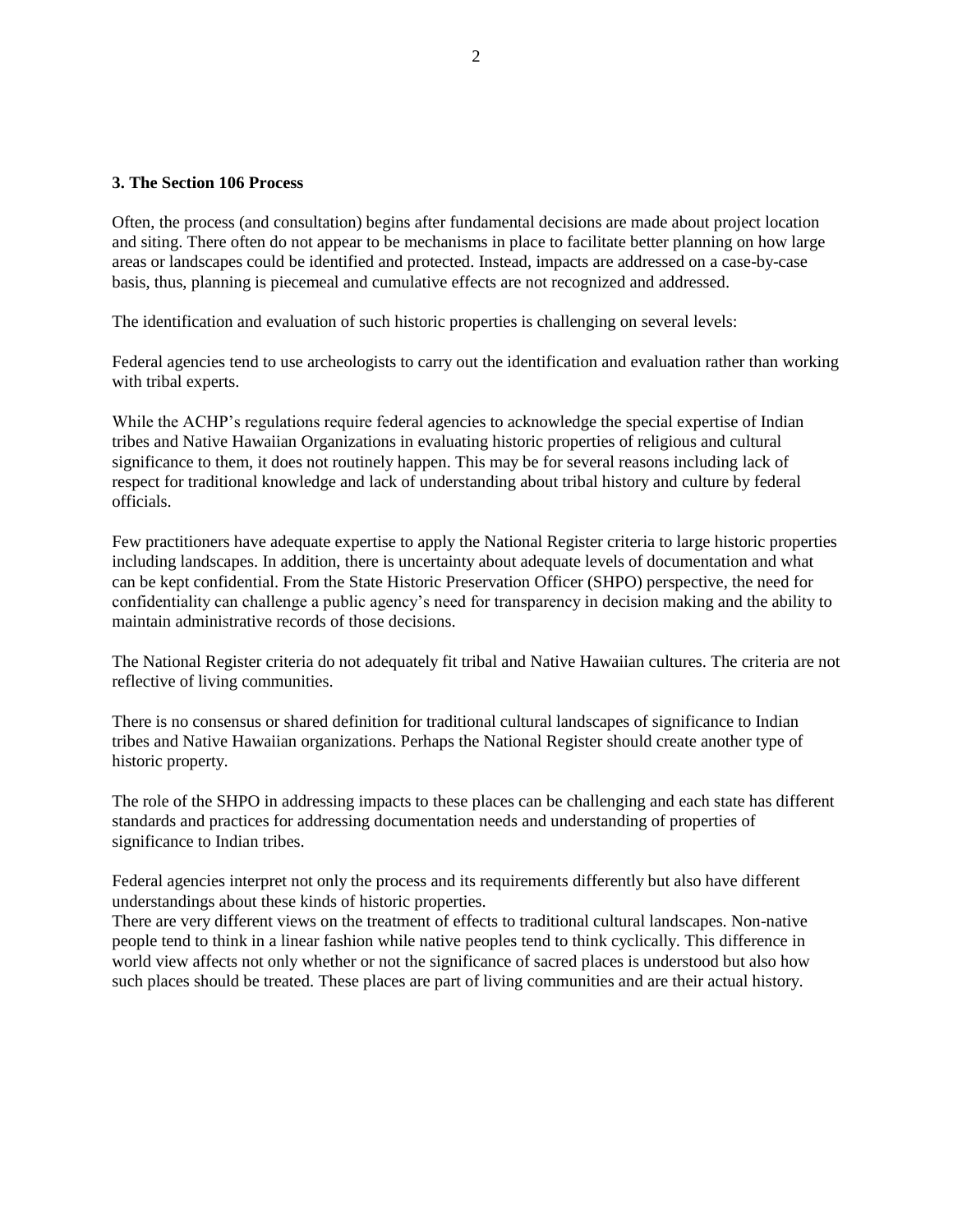#### **3. The Section 106 Process**

Often, the process (and consultation) begins after fundamental decisions are made about project location and siting. There often do not appear to be mechanisms in place to facilitate better planning on how large areas or landscapes could be identified and protected. Instead, impacts are addressed on a case-by-case basis, thus, planning is piecemeal and cumulative effects are not recognized and addressed.

The identification and evaluation of such historic properties is challenging on several levels:

Federal agencies tend to use archeologists to carry out the identification and evaluation rather than working with tribal experts.

While the ACHP's regulations require federal agencies to acknowledge the special expertise of Indian tribes and Native Hawaiian Organizations in evaluating historic properties of religious and cultural significance to them, it does not routinely happen. This may be for several reasons including lack of respect for traditional knowledge and lack of understanding about tribal history and culture by federal officials.

Few practitioners have adequate expertise to apply the National Register criteria to large historic properties including landscapes. In addition, there is uncertainty about adequate levels of documentation and what can be kept confidential. From the State Historic Preservation Officer (SHPO) perspective, the need for confidentiality can challenge a public agency's need for transparency in decision making and the ability to maintain administrative records of those decisions.

The National Register criteria do not adequately fit tribal and Native Hawaiian cultures. The criteria are not reflective of living communities.

There is no consensus or shared definition for traditional cultural landscapes of significance to Indian tribes and Native Hawaiian organizations. Perhaps the National Register should create another type of historic property.

The role of the SHPO in addressing impacts to these places can be challenging and each state has different standards and practices for addressing documentation needs and understanding of properties of significance to Indian tribes.

Federal agencies interpret not only the process and its requirements differently but also have different understandings about these kinds of historic properties.

There are very different views on the treatment of effects to traditional cultural landscapes. Non-native people tend to think in a linear fashion while native peoples tend to think cyclically. This difference in world view affects not only whether or not the significance of sacred places is understood but also how such places should be treated. These places are part of living communities and are their actual history.